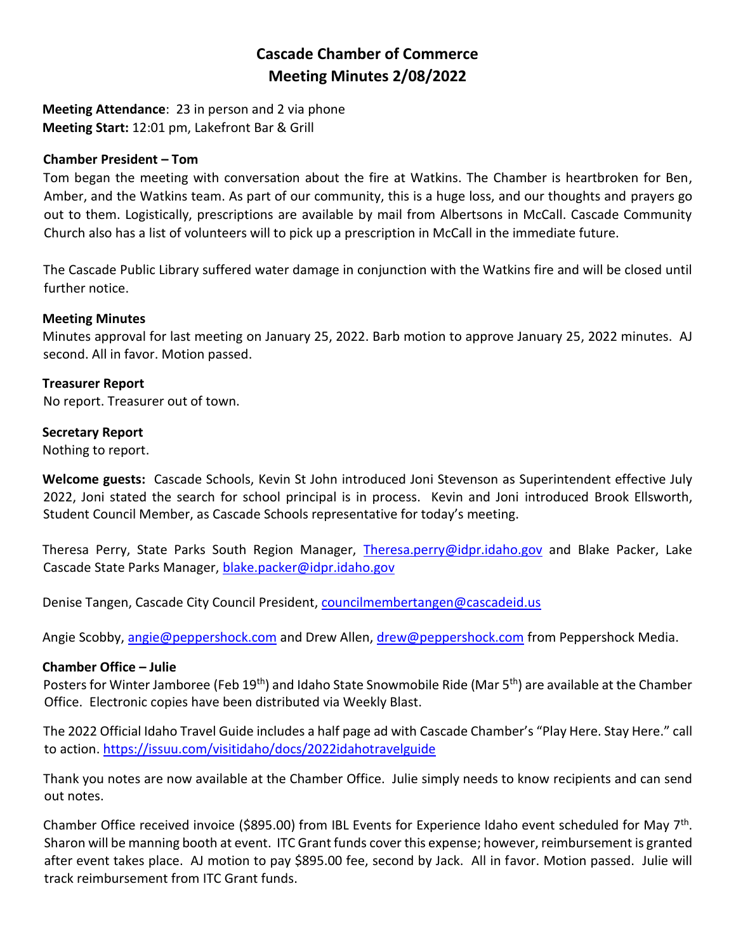# **Cascade Chamber of Commerce Meeting Minutes 2/08/2022**

**Meeting Attendance**: 23 in person and 2 via phone **Meeting Start:** 12:01 pm, Lakefront Bar & Grill

### **Chamber President – Tom**

Tom began the meeting with conversation about the fire at Watkins. The Chamber is heartbroken for Ben, Amber, and the Watkins team. As part of our community, this is a huge loss, and our thoughts and prayers go out to them. Logistically, prescriptions are available by mail from Albertsons in McCall. Cascade Community Church also has a list of volunteers will to pick up a prescription in McCall in the immediate future.

The Cascade Public Library suffered water damage in conjunction with the Watkins fire and will be closed until further notice.

### **Meeting Minutes**

Minutes approval for last meeting on January 25, 2022. Barb motion to approve January 25, 2022 minutes. AJ second. All in favor. Motion passed.

### **Treasurer Report**

No report. Treasurer out of town.

### **Secretary Report**

Nothing to report.

**Welcome guests:** Cascade Schools, Kevin St John introduced Joni Stevenson as Superintendent effective July 2022, Joni stated the search for school principal is in process. Kevin and Joni introduced Brook Ellsworth, Student Council Member, as Cascade Schools representative for today's meeting.

Theresa Perry, State Parks South Region Manager, [Theresa.perry@idpr.idaho.gov](mailto:Theresa.perry@idpr.idaho.gov) and Blake Packer, Lake Cascade State Parks Manager, [blake.packer@idpr.idaho.gov](mailto:blake.packer@idpr.idaho.gov)

Denise Tangen, Cascade City Council President, [councilmembertangen@cascadeid.us](mailto:councilmembertangen@cascadeid.us)

Angie Scobby, [angie@peppershock.com](mailto:angie@peppershock.com) and Drew Allen, [drew@peppershock.com](mailto:drew@peppershock.com) from Peppershock Media.

### **Chamber Office – Julie**

Posters for Winter Jamboree (Feb 19<sup>th</sup>) and Idaho State Snowmobile Ride (Mar 5<sup>th</sup>) are available at the Chamber Office. Electronic copies have been distributed via Weekly Blast.

The 2022 Official Idaho Travel Guide includes a half page ad with Cascade Chamber's "Play Here. Stay Here." call to action. <https://issuu.com/visitidaho/docs/2022idahotravelguide>

Thank you notes are now available at the Chamber Office. Julie simply needs to know recipients and can send out notes.

Chamber Office received invoice (\$895.00) from IBL Events for Experience Idaho event scheduled for May 7<sup>th</sup>. Sharon will be manning booth at event. ITC Grant funds cover this expense; however, reimbursement is granted after event takes place. AJ motion to pay \$895.00 fee, second by Jack. All in favor. Motion passed. Julie will track reimbursement from ITC Grant funds.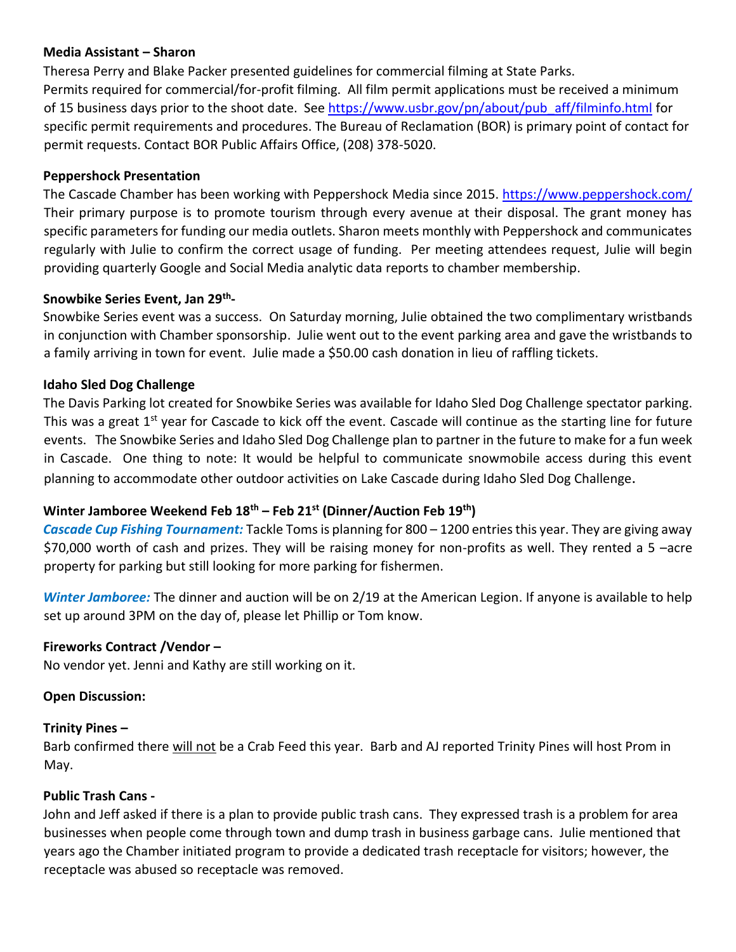# **Media Assistant – Sharon**

Theresa Perry and Blake Packer presented guidelines for commercial filming at State Parks. Permits required for commercial/for-profit filming. All film permit applications must be received a minimum of 15 business days prior to the shoot date. See [https://www.usbr.gov/pn/about/pub\\_aff/filminfo.html](https://www.usbr.gov/pn/about/pub_aff/filminfo.html) for specific permit requirements and procedures. The Bureau of Reclamation (BOR) is primary point of contact for permit requests. Contact BOR Public Affairs Office, (208) 378-5020.

# **Peppershock Presentation**

The Cascade Chamber has been working with Peppershock Media since 2015.<https://www.peppershock.com/> Their primary purpose is to promote tourism through every avenue at their disposal. The grant money has specific parameters for funding our media outlets. Sharon meets monthly with Peppershock and communicates regularly with Julie to confirm the correct usage of funding. Per meeting attendees request, Julie will begin providing quarterly Google and Social Media analytic data reports to chamber membership.

# **Snowbike Series Event, Jan 29th -**

Snowbike Series event was a success. On Saturday morning, Julie obtained the two complimentary wristbands in conjunction with Chamber sponsorship. Julie went out to the event parking area and gave the wristbands to a family arriving in town for event. Julie made a \$50.00 cash donation in lieu of raffling tickets.

## **Idaho Sled Dog Challenge**

The Davis Parking lot created for Snowbike Series was available for Idaho Sled Dog Challenge spectator parking. This was a great  $1<sup>st</sup>$  year for Cascade to kick off the event. Cascade will continue as the starting line for future events. The Snowbike Series and Idaho Sled Dog Challenge plan to partner in the future to make for a fun week in Cascade. One thing to note: It would be helpful to communicate snowmobile access during this event planning to accommodate other outdoor activities on Lake Cascade during Idaho Sled Dog Challenge.

# **Winter Jamboree Weekend Feb 18th – Feb 21st (Dinner/Auction Feb 19th)**

*Cascade Cup Fishing Tournament:* Tackle Toms is planning for 800 – 1200 entries this year. They are giving away \$70,000 worth of cash and prizes. They will be raising money for non-profits as well. They rented a 5 –acre property for parking but still looking for more parking for fishermen.

*Winter Jamboree:* The dinner and auction will be on 2/19 at the American Legion. If anyone is available to help set up around 3PM on the day of, please let Phillip or Tom know.

# **Fireworks Contract /Vendor –**

No vendor yet. Jenni and Kathy are still working on it.

# **Open Discussion:**

### **Trinity Pines –**

Barb confirmed there will not be a Crab Feed this year. Barb and AJ reported Trinity Pines will host Prom in May.

### **Public Trash Cans -**

John and Jeff asked if there is a plan to provide public trash cans. They expressed trash is a problem for area businesses when people come through town and dump trash in business garbage cans. Julie mentioned that years ago the Chamber initiated program to provide a dedicated trash receptacle for visitors; however, the receptacle was abused so receptacle was removed.